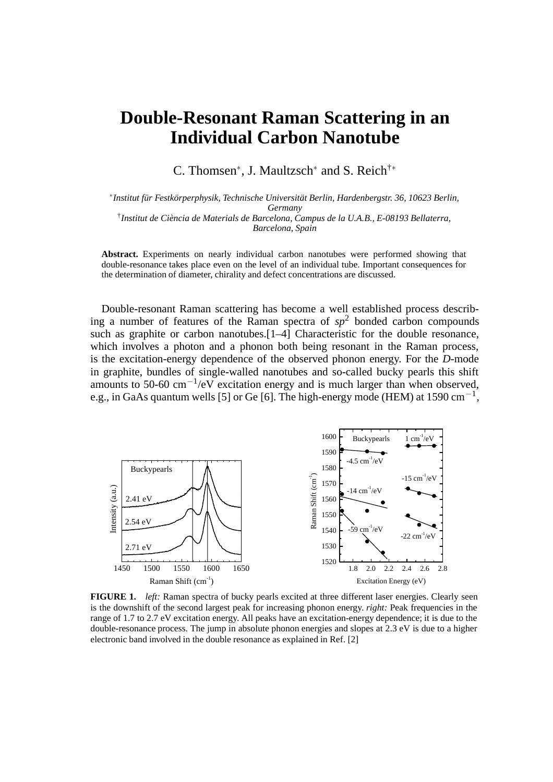## **Double-Resonant Raman Scattering in an Individual Carbon Nanotube**

C. Thomsen∗, J. Maultzsch<sup>∗</sup> and S. Reich†<sup>∗</sup>

∗*Institut für Festkörperphysik, Technische Universität Berlin, Hardenbergstr. 36, 10623 Berlin, Germany* †*Institut de Ciència de Materials de Barcelona, Campus de la U.A.B., E-08193 Bellaterra, Barcelona, Spain*

**Abstract.** Experiments on nearly individual carbon nanotubes were performed showing that double-resonance takes place even on the level of an individual tube. Important consequences for the determination of diameter, chirality and defect concentrations are discussed.

Double-resonant Raman scattering has become a well established process describing a number of features of the Raman spectra of  $sp^2$  bonded carbon compounds such as graphite or carbon nanotubes.<sup>[1–4]</sup> Characteristic for the double resonance, which involves a photon and a phonon both being resonant in the Raman process, is the excitation-energy dependence of the observed phonon energy. For the *D*-mode in graphite, bundles of single-walled nanotubes and so-called bucky pearls this shift amounts to 50-60 cm<sup>-1</sup>/eV excitation energy and is much larger than when observed, e.g., in GaAs quantum wells [5] or Ge [6]. The high-energy mode (HEM) at 1590 cm<sup>-1</sup>,



**FIGURE 1.** *left:* Raman spectra of bucky pearls excited at three different laser energies. Clearly seen is the downshift of the second largest peak for increasing phonon energy. *right:* Peak frequencies in the range of 1.7 to 2.7 eV excitation energy. All peaks have an excitation-energy dependence; it is due to the double-resonance process. The jump in absolute phonon energies and slopes at 2.3 eV is due to a higher electronic band involved in the double resonance as explained in Ref. [2]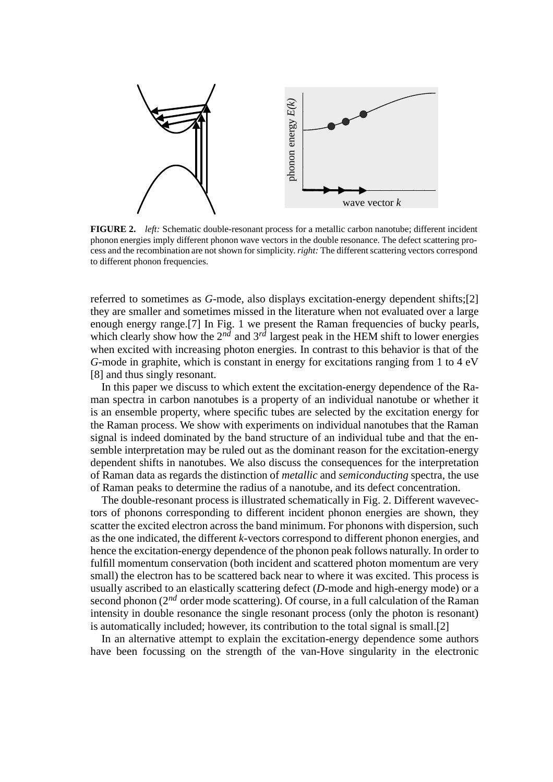

**FIGURE 2.** *left:* Schematic double-resonant process for a metallic carbon nanotube; different incident phonon energies imply different phonon wave vectors in the double resonance. The defect scattering process and the recombination are not shown for simplicity.*right:* The different scattering vectors correspond to different phonon frequencies.

referred to sometimes as *G*-mode, also displays excitation-energy dependent shifts;[2] they are smaller and sometimes missed in the literature when not evaluated over a large enough energy range.[7] In Fig. 1 we present the Raman frequencies of bucky pearls, which clearly show how the  $2^{n\bar{d}}$  and  $3^{n\bar{d}}$  largest peak in the HEM shift to lower energies when excited with increasing photon energies. In contrast to this behavior is that of the *G*-mode in graphite, which is constant in energy for excitations ranging from 1 to 4 eV [8] and thus singly resonant.

In this paper we discuss to which extent the excitation-energy dependence of the Raman spectra in carbon nanotubes is a property of an individual nanotube or whether it is an ensemble property, where specific tubes are selected by the excitation energy for the Raman process. We show with experiments on individual nanotubes that the Raman signal is indeed dominated by the band structure of an individual tube and that the ensemble interpretation may be ruled out as the dominant reason for the excitation-energy dependent shifts in nanotubes. We also discuss the consequences for the interpretation of Raman data as regards the distinction of *metallic* and *semiconducting* spectra, the use of Raman peaks to determine the radius of a nanotube, and its defect concentration.

The double-resonant process is illustrated schematically in Fig. 2. Different wavevectors of phonons corresponding to different incident phonon energies are shown, they scatter the excited electron across the band minimum. For phonons with dispersion, such as the one indicated, the different *k*-vectors correspond to different phonon energies, and hence the excitation-energy dependence of the phonon peak follows naturally. In order to fulfill momentum conservation (both incident and scattered photon momentum are very small) the electron has to be scattered back near to where it was excited. This process is usually ascribed to an elastically scattering defect (*D*-mode and high-energy mode) or a second phonon (2<sup>nd</sup> order mode scattering). Of course, in a full calculation of the Raman intensity in double resonance the single resonant process (only the photon is resonant) is automatically included; however, its contribution to the total signal is small.[2]

In an alternative attempt to explain the excitation-energy dependence some authors have been focussing on the strength of the van-Hove singularity in the electronic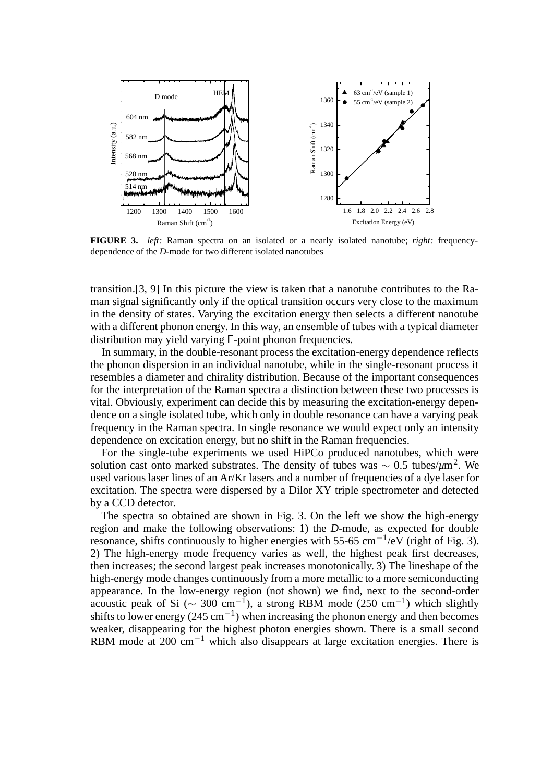

**FIGURE 3.** *left:* Raman spectra on an isolated or a nearly isolated nanotube; *right:* frequencydependence of the *D-*mode for two different isolated nanotubes

transition.[3, 9] In this picture the view is taken that a nanotube contributes to the Raman signal significantly only if the optical transition occurs very close to the maximum in the density of states. Varying the excitation energy then selects a different nanotube with a different phonon energy. In this way, an ensemble of tubes with a typical diameter distribution may yield varying Γ-point phonon frequencies.

In summary, in the double-resonant process the excitation-energy dependence reflects the phonon dispersion in an individual nanotube, while in the single-resonant process it resembles a diameter and chirality distribution. Because of the important consequences for the interpretation of the Raman spectra a distinction between these two processes is vital. Obviously, experiment can decide this by measuring the excitation-energy dependence on a single isolated tube, which only in double resonance can have a varying peak frequency in the Raman spectra. In single resonance we would expect only an intensity dependence on excitation energy, but no shift in the Raman frequencies.

For the single-tube experiments we used HiPCo produced nanotubes, which were solution cast onto marked substrates. The density of tubes was <sup>∼</sup> 0.5 tubes/*µ*m2. We used various laser lines of an Ar/Kr lasers and a number of frequencies of a dye laser for excitation. The spectra were dispersed by a Dilor XY triple spectrometer and detected by a CCD detector.

The spectra so obtained are shown in Fig. 3. On the left we show the high-energy region and make the following observations: 1) the *D*-mode, as expected for double resonance, shifts continuously to higher energies with 55-65 cm<sup>-1</sup>/eV (right of Fig. 3). 2) The high-energy mode frequency varies as well, the highest peak first decreases, then increases; the second largest peak increases monotonically. 3) The lineshape of the high-energy mode changes continuously from a more metallic to a more semiconducting appearance. In the low-energy region (not shown) we find, next to the second-order acoustic peak of Si ( $\sim$  300 cm<sup>-1</sup>), a strong RBM mode (250 cm<sup>-1</sup>) which slightly shifts to lower energy (245 cm<sup>-1</sup>) when increasing the phonon energy and then becomes weaker, disappearing for the highest photon energies shown. There is a small second RBM mode at 200  $cm^{-1}$  which also disappears at large excitation energies. There is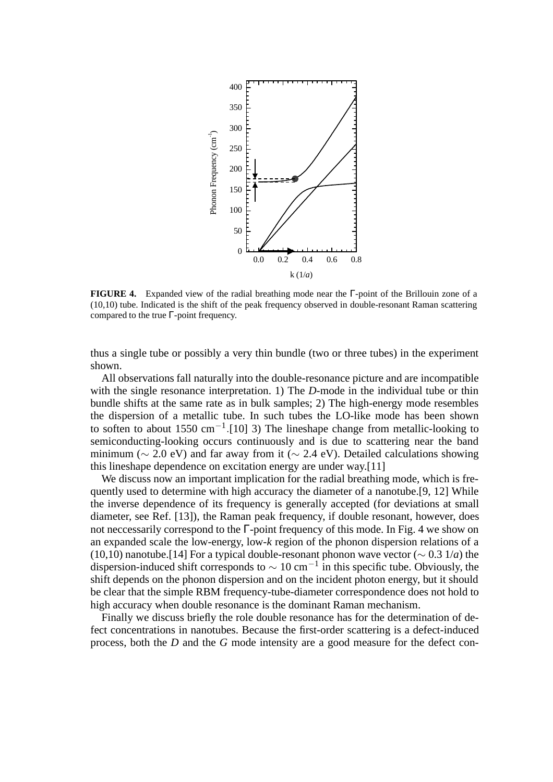

**FIGURE 4.** Expanded view of the radial breathing mode near the Γ-point of the Brillouin zone of a (10,10) tube. Indicated is the shift of the peak frequency observed in double-resonant Raman scattering compared to the true  $\Gamma$ -point frequency.

thus a single tube or possibly a very thin bundle (two or three tubes) in the experiment shown.

All observations fall naturally into the double-resonance picture and are incompatible with the single resonance interpretation. 1) The *D*-mode in the individual tube or thin bundle shifts at the same rate as in bulk samples; 2) The high-energy mode resembles the dispersion of a metallic tube. In such tubes the LO-like mode has been shown to soften to about 1550 cm−1*.*[10] 3) The lineshape change from metallic-looking to semiconducting-looking occurs continuously and is due to scattering near the band minimum ( $\sim$  2.0 eV) and far away from it ( $\sim$  2.4 eV). Detailed calculations showing this lineshape dependence on excitation energy are under way.[11]

We discuss now an important implication for the radial breathing mode, which is frequently used to determine with high accuracy the diameter of a nanotube.[9, 12] While the inverse dependence of its frequency is generally accepted (for deviations at small diameter, see Ref. [13]), the Raman peak frequency, if double resonant, however, does not neccessarily correspond to the Γ-point frequency of this mode. In Fig. 4 we show on an expanded scale the low-energy, low-*k* region of the phonon dispersion relations of a (10,10) nanotube.[14] For a typical double-resonant phonon wave vector ( $\sim 0.3$  1/*a*) the dispersion-induced shift corresponds to  $\sim 10 \text{ cm}^{-1}$  in this specific tube. Obviously, the shift depends on the phonon dispersion and on the incident photon energy, but it should be clear that the simple RBM frequency-tube-diameter correspondence does not hold to high accuracy when double resonance is the dominant Raman mechanism.

Finally we discuss briefly the role double resonance has for the determination of defect concentrations in nanotubes. Because the first-order scattering is a defect-induced process, both the *D* and the *G* mode intensity are a good measure for the defect con